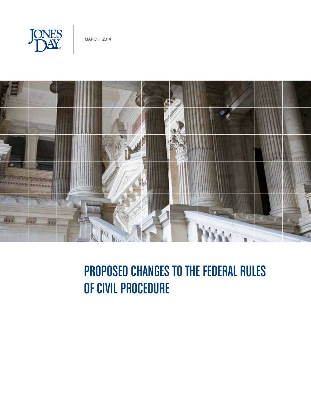



# Proposed Changes to the Federal Rules of Civil Procedure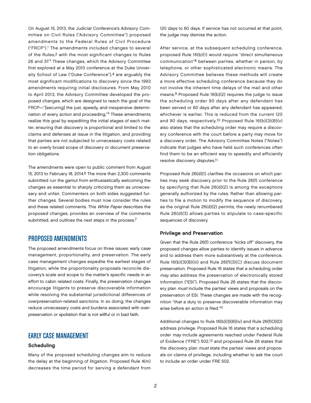On August 15, 2013, the Judicial Conference's Advisory Committee on Civil Rules ("Advisory Committee") proposed amendments to the Federal Rules of Civil Procedure ("FRCP").1 The amendments included changes to several of the Rules,2 with the most significant changes to Rules 26 and 37.3 These changes, which the Advisory Committee first explored at a May 2010 conference at the Duke University School of Law ("Duke Conference"),<sup>4</sup> are arguably the most significant modifications to discovery since the 1993 amendments requiring initial disclosures. From May 2010 to April 2013, the Advisory Committee developed the proposed changes, which are designed to reach the goal of the FRCP—"[securing] the just, speedy, and inexpensive determination of every action and proceeding."5 These amendments realize this goal by expediting the initial stages of each matter, ensuring that discovery is proportional and limited to the claims and defenses at issue in the litigation, and providing that parties are not subjected to unnecessary costs related to an overly broad scope of discovery or document preservation obligations.

The amendments were open to public comment from August 15, 2013 to February 18, 2014.6 The more than 2,300 comments submitted run the gamut from enthusiastically welcoming the changes as essential to sharply criticizing them as unnecessary and unfair. Commenters on both sides suggested further changes. Several bodies must now consider the rules and these related comments. This White Paper describes the proposed changes, provides an overview of the comments submitted, and outlines the next steps in the process.<sup>7</sup>

## PROPOSEDAMENDMENTS

The proposed amendments focus on three issues: early case management, proportionality, and preservation. The early case management changes expedite the earliest stages of litigation, while the proportionality proposals reconcile discovery's scale and scope to the matter's specific needs in an effort to cabin related costs. Finally, the preservation changes encourage litigants to preserve discoverable information while resolving the substantial jurisdictional differences of overpreservation-related sanctions. In so doing, the changes reduce unnecessary costs and burdens associated with overpreservation or spoliation that is not willful or in bad faith.

# EARLY CASE MANAGEMENT

## Scheduling

Many of the proposed scheduling changes aim to reduce the delay at the beginning of litigation. Proposed Rule 4(m) decreases the time period for serving a defendant from 120 days to 60 days. If service has not occurred at that point, the judge may dismiss the action.

After service, at the subsequent scheduling conference, proposed Rule 16(b)(1) would require "direct simultaneous communication"8 between parties, whether in person, by telephone, or other sophisticated electronic means. The Advisory Committee believes these methods will create a more effective scheduling conference because they do not involve the inherent time delays of the mail and other means.9 Proposed Rule 16(b)(2) requires the judge to issue the scheduling order 90 days after any defendant has been served or 60 days after any defendant has appeared, whichever is earlier. This is reduced from the current 120 and 90 days, respectively.10 Proposed Rule 16(b)(3)(B)(v) also states that the scheduling order may require a discovery conference with the court before a party may move for a discovery order. The Advisory Committee Notes ("Notes") indicate that judges who have held such conferences often find them to be an efficient way to speedily and efficiently resolve discovery disputes.11

Proposed Rule 26(d)(1) clarifies the occasions on which parties may seek discovery prior to the Rule 26(f) conference by specifying that Rule 26(d)(2) is among the exceptions generally authorized by the rules. Rather than allowing parties to file a motion to modify the sequence of discovery, as the original Rule 26(d)(2) permits, the newly renumbered Rule 26(d)(3) allows parties to stipulate to case-specific sequences of discovery.

#### Privilege and Preservation

Given that the Rule 26(f) conference "kicks off" discovery, the proposed changes allow parties to identify issues in advance and to address them more substantively at the conference. Rule 16(b)(3)(B)(iii) and Rule 26(f)(3)(C) discuss document preservation. Proposed Rule 16 states that a scheduling order may also address the preservation of electronically stored information ("ESI"). Proposed Rule 26 states that the discovery plan *must* include the parties' views and proposals on the preservation of ESI. These changes are made with the recognition "that a duty to preserve discoverable information may arise before an action is filed."12

Additional changes to Rule 16(b)(3)(B)(iv) and Rule 26(f)(3)(D) address privilege. Proposed Rule 16 states that a scheduling order may include agreements reached under Federal Rule of Evidence ("FRE") 502,13 and proposed Rule 26 states that the discovery plan *must* state the parties' views and proposals on claims of privilege, including whether to ask the court to include an order under FRE 502.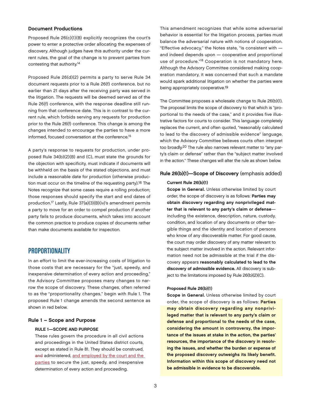### Document Productions

Proposed Rule 26(c)(1)(B) explicitly recognizes the court's power to enter a protective order allocating the expenses of discovery. Although judges have this authority under the current rules, the goal of the change is to prevent parties from contesting that authority.14

Proposed Rule 26(d)(2) permits a party to serve Rule 34 document requests prior to a Rule 26(f) conference, but no earlier than 21 days after the receiving party was served in the litigation. The requests will be deemed served as of the Rule 26(f) conference, with the response deadline still running from that conference date. This is in contrast to the current rule, which forbids serving any requests for production prior to the Rule 26(f) conference. This change is among the changes intended to encourage the parties to have a more informed, focused conversation at the conference.<sup>15</sup>

A party's response to requests for production, under proposed Rule 34(b)(2)(B) and (C), must state the grounds for the objection with specificity, must indicate if documents will be withheld on the basis of the stated objections, and must include a reasonable date for production (otherwise production must occur on the timeline of the requesting party).16 The Notes recognize that some cases require a rolling production; those responses should specify the start and end dates of production.17 Lastly, Rule 37(a)(3)(B)(iv)'s amendment permits a party to move for an order to compel production if another party fails to produce documents, which takes into account the common practice to produce copies of documents rather than make documents available for inspection.

## PROPORTIONALITY

In an effort to limit the ever-increasing costs of litigation to those costs that are necessary for the "just, speedy, and inexpensive determination of every action and proceeding," the Advisory Committee proposes many changes to narrow the scope of discovery. These changes, often referred to as the "proportionality changes," begin with Rule 1. The proposed Rule 1 change amends the second sentence as shown in red below.

## Rule 1 – Scope and Purpose

#### RULE 1—SCOPE AND PURPOSE

These rules govern the procedure in all civil actions and proceedings in the United States district courts, except as stated in Rule 81. They should be construed, and administered, and employed by the court and the parties to secure the just, speedy, and inexpensive determination of every action and proceeding.

This amendment recognizes that while some adversarial behavior is essential for the litigation process, parties must balance the adversarial nature with notions of cooperation. "Effective advocacy," the Notes state, "is consistent with and indeed depends upon — cooperative and proportional use of procedure."<sup>18</sup> Cooperation is not mandatory here. Although the Advisory Committee considered making cooperation mandatory, it was concerned that such a mandate would spark additional litigation on whether the parties were being appropriately cooperative.19

The Committee proposes a wholesale change to Rule 26(b)(1). The proposal limits the scope of discovery to that which is "proportional to the needs of the case," and it provides five illustrative factors for courts to consider. This language completely replaces the current, and often quoted, "reasonably calculated to lead to the discovery of admissible evidence" language, which the Advisory Committee believes courts often interpret too broadly.20 The rule also narrows relevant matter to "any party's claim or defense" rather than the "subject matter involved in the action." These changes will alter the rule as shown below.

#### Rule 26(b)(1)—Scope of Discovery (emphasis added)

#### Current Rule 26(b)(1)

Scope in General. Unless otherwise limited by court order, the scope of discovery is as follows: Parties may obtain discovery regarding any nonprivileged matter that is relevant to any party's claim or defense including the existence, description, nature, custody, condition, and location of any documents or other tangible things and the identity and location of persons who know of any discoverable matter. For good cause, the court may order discovery of any matter relevant to the subject matter involved in the action. Relevant information need not be admissible at the trial if the discovery appears reasonably calculated to lead to the discovery of admissible evidence. All discovery is subject to the limitations imposed by Rule 26(b)(2)(C).

#### Proposed Rule 26(b)(1)

Scope in General. Unless otherwise limited by court order, the scope of discovery is as follows: Parties may obtain discovery regarding any nonprivileged matter that is relevant to any party's claim or defense and proportional to the needs of the case, considering the amount in controversy, the importance of the issues at stake in the action, the parties' resources, the importance of the discovery in resolving the issues, and whether the burden or expense of the proposed discovery outweighs its likely benefit. Information within this scope of discovery need not be admissible in evidence to be discoverable.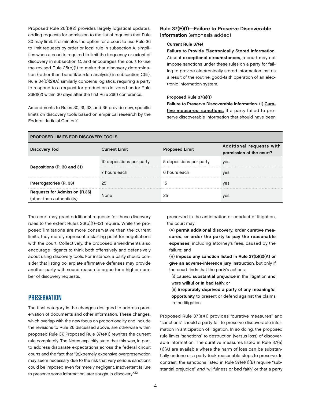Proposed Rule 26(b)(2) provides largely logistical updates, adding requests for admission to the list of requests that Rule 30 may limit. It eliminates the option for a court to use Rule 36 to limit requests by order or local rule in subsection A, simplifies when a court is required to limit the frequency or extent of discovery in subsection C, and encourages the court to use the revised Rule 26(b)(1) to make that discovery determination (rather than benefit/burden analysis) in subsection C(iii). Rule 34(b)(2)(A) similarly concerns logistics, requiring a party to respond to a request for production delivered under Rule 26(d)(2) within 30 days after the first Rule 26(f) conference.

Amendments to Rules 30, 31, 33, and 36 provide new, specific limits on discovery tools based on empirical research by the Federal Judicial Center.21

## Rule 37(E)(1)—Failure to Preserve Discoverable Information (emphasis added)

#### Current Rule 37(e)

Failure to Provide Electronically Stored Information. Absent exceptional circumstances, a court may not impose sanctions under these rules on a party for failing to provide electronically stored information lost as a result of the routine, good-faith operation of an electronic information system.

#### Proposed Rule 37(e)(1)

Failure to Preserve Discoverable Information. (1) Curative measures; sanctions. If a party failed to preserve discoverable information that should have been

| <b>PROPOSED LIMITS FOR DISCOVERY TOOLS</b>                        |                          |                         |                                                      |  |
|-------------------------------------------------------------------|--------------------------|-------------------------|------------------------------------------------------|--|
| <b>Discovery Tool</b>                                             | <b>Current Limit</b>     | <b>Proposed Limit</b>   | Additional requests with<br>permission of the court? |  |
| Depositions (R. 30 and 31)                                        | 10 depositions per party | 5 depositions per party | yes                                                  |  |
|                                                                   | 7 hours each             | 6 hours each            | yes                                                  |  |
| Interrogatories (R. 33)                                           | 25                       | 15                      | yes                                                  |  |
| <b>Requests for Admission (R.36)</b><br>(other than authenticity) | None                     | 25                      | yes                                                  |  |

The court may grant additional requests for these discovery rules to the extent Rules 26(b)(1)–(2) require. While the proposed limitations are more conservative than the current limits, they merely represent a starting point for negotiations with the court. Collectively, the proposed amendments also encourage litigants to think both offensively and defensively about using discovery tools. For instance, a party should consider that listing boilerplate affirmative defenses may provide another party with sound reason to argue for a higher number of discovery requests.

## **PRESERVATION**

The final category is the changes designed to address preservation of documents and other information. These changes, which overlap with the new focus on proportionality and include the revisions to Rule 26 discussed above, are otherwise within proposed Rule 37. Proposed Rule 37(e)(1) rewrites the current rule completely. The Notes explicitly state that this was, in part, to address disparate expectations across the federal circuit courts and the fact that "[e]xtremely expensive overpreservation may seem necessary due to the risk that very serious sanctions could be imposed even for merely negligent, inadvertent failure to preserve some information later sought in discovery."22

preserved in the anticipation or conduct of litigation, the court may:

(A) permit additional discovery, order curative measures, or order the party to pay the reasonable expenses, including attorney's fees, caused by the failure; and

(B) impose any sanction listed in Rule 37(b)(2)(A) or give an adverse-inference jury instruction, but only if the court finds that the party's actions:

- (i) caused substantial prejudice in the litigation and were willful or in bad faith; or
- (ii) irreparably deprived a party of any meaningful opportunity to present or defend against the claims in the litigation.

Proposed Rule 37(e)(1) provides "curative measures" and "sanctions" should a party fail to preserve discoverable information in anticipation of litigation. In so doing, the proposed rule limits "sanctions" to destruction (versus loss) of discoverable information. The curative measures listed in Rule 37(e) (1)(A) are available where the harm of loss can be substantially undone or a party took reasonable steps to preserve. In contrast, the sanctions listed in Rule 37(e)(1)(B) require "substantial prejudice" and "willfulness or bad faith" or that a party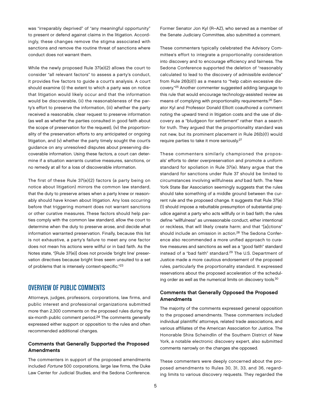was "irreparably deprived" of "any meaningful opportunity" to present or defend against claims in the litigation. Accordingly, these changes remove the stigma associated with sanctions and remove the routine threat of sanctions where conduct does not warrant them.

While the newly proposed Rule 37(e)(2) allows the court to consider "all relevant factors" to assess a party's conduct, it provides five factors to guide a court's analysis. A court should examine (i) the extent to which a party was on notice that litigation would likely occur and that the information would be discoverable, (ii) the reasonableness of the party's effort to preserve the information, (iii) whether the party received a reasonable, clear request to preserve information (as well as whether the parties consulted in good faith about the scope of preservation for the request), (iv) the proportionality of the preservation efforts to any anticipated or ongoing litigation, and (v) whether the party timely sought the court's guidance on any unresolved disputes about preserving discoverable information. Using these factors, a court can determine if a situation warrants curative measures, sanctions, or no remedy at all for a loss of discoverable information.

The first of these Rule 37(e)(2) factors (a party being on notice about litigation) mirrors the common law standard, that the duty to preserve arises when a party knew or reasonably should have known about litigation. Any loss occurring before that triggering moment does not warrant sanctions or other curative measures. These factors should help parties comply with the common law standard, allow the court to determine when the duty to preserve arose, and decide what information warranted preservation. Finally, because this list is not exhaustive, a party's failure to meet any one factor does not mean his actions were willful or in bad faith. As the Notes state, "[Rule 37(e)] does not provide 'bright line' preservation directives because bright lines seem unsuited to a set of problems that is intensely context-specific."23

# OVERVIEW OF PUBLIC COMMENTS

Attorneys, judges, professors, corporations, law firms, and public interest and professional organizations submitted more than 2,300 comments on the proposed rules during the six-month public comment period.24 The comments generally expressed either support or opposition to the rules and often recommended additional changes.

## Comments that Generally Supported the Proposed **Amendments**

The commenters in support of the proposed amendments included Fortune 500 corporations, large law firms, the Duke Law Center for Judicial Studies, and the Sedona Conference.

Former Senator Jon Kyl (R–AZ), who served as a member of the Senate Judiciary Committee, also submitted a comment.

These commenters typically celebrated the Advisory Committee's effort to integrate a proportionality consideration into discovery and to encourage efficiency and fairness. The Sedona Conference supported the deletion of "reasonably calculated to lead to the discovery of admissible evidence" from Rule 26(b)(1) as a means to "help cabin excessive discovery."25 Another commenter suggested adding language to this rule that would encourage technology-assisted review as means of complying with proportionality requirements.26 Senator Kyl and Professor Donald Elliott coauthored a comment noting the upward trend in litigation costs and the use of discovery as a "bludgeon for settlement" rather than a search for truth. They argued that the proportionality standard was not new, but its prominent placement in Rule 26(b)(1) would require parties to take it more seriously.27

These commenters similarly championed the proposals' efforts to deter overpreservation and promote a uniform standard for spoliation in Rule 37(e). Many argue that the standard for sanctions under Rule 37 should be limited to circumstances involving willfulness and bad faith. The New York State Bar Association seemingly suggests that the rules should take something of a middle ground between the current rule and the proposed change. It suggests that Rule 37(e) (1) should impose a rebuttable presumption of substantial prejudice against a party who acts willfully or in bad faith; the rules define "willfulness" as unreasonable conduct, either intentional or reckless, that will likely create harm; and that "[a]ctions" should include an omission in action.<sup>28</sup> The Sedona Conference also recommended a more unified approach to curative measures and sanctions as well as a "good faith" standard instead of a "bad faith" standard.29 The U.S. Department of Justice made a more cautious endorsement of the proposed rules, particularly the proportionality standard. It expressed reservations about the proposed acceleration of the scheduling order as well as the numerical limits on discovery tools.<sup>30</sup>

## Comments that Generally Opposed the Proposed **Amendments**

The majority of the comments expressed general opposition to the proposed amendments. These commenters included individual plaintiffs' attorneys, related trade associations, and various affiliates of the American Association for Justice. The Honorable Shira Scheindlin of the Southern District of New York, a notable electronic discovery expert, also submitted comments narrowly on the changes she opposed.

These commenters were deeply concerned about the proposed amendments to Rules 30, 31, 33, and 36, regarding limits to various discovery requests. They regarded the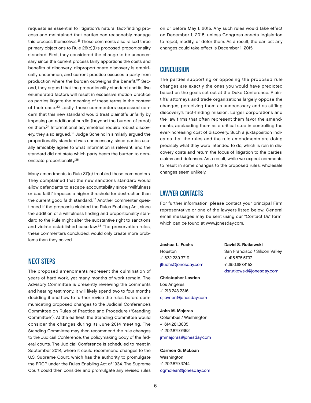requests as essential to litigation's natural fact-finding process and maintained that parties can reasonably manage this process themselves.<sup>31</sup> These comments also raised three primary objections to Rule 26(b)(1)'s proposed proportionality standard. First, they considered the change to be unnecessary since the current process fairly apportions the costs and benefits of discovery, disproportionate discovery is empirically uncommon, and current practice excuses a party from production where the burden outweighs the benefit.<sup>32</sup> Second, they argued that the proportionality standard and its five enumerated factors will result in excessive motion practice as parties litigate the meaning of these terms in the context of their case.33 Lastly, these commenters expressed concern that this new standard would treat plaintiffs unfairly by imposing an additional hurdle (beyond the burden of proof) on them.34 Informational asymmetries require robust discovery, they also argued.<sup>35</sup> Judge Scheindlin similarly argued the proportionality standard was unnecessary, since parties usually amicably agree to what information is relevant, and the standard did not state which party bears the burden to demonstrate proportionality.36

Many amendments to Rule 37(e) troubled these commenters. They complained that the new sanctions standard would allow defendants to escape accountability since "willfulness or bad faith" imposes a higher threshold for destruction than the current good faith standard.<sup>37</sup> Another commenter questioned if the proposals violated the Rules Enabling Act, since the addition of a willfulness finding and proportionality standard to the Rule might alter the substantive right to sanctions and violate established case law.<sup>38</sup> The preservation rules, these commenters concluded, would only create more problems than they solved.

# NEXT STEPS

The proposed amendments represent the culmination of years of hard work, yet many months of work remain. The Advisory Committee is presently reviewing the comments and hearing testimony. It will likely spend two to four months deciding if and how to further revise the rules before communicating proposed changes to the Judicial Conference's Committee on Rules of Practice and Procedure ("Standing Committee"). At the earliest, the Standing Committee would consider the changes during its June 2014 meeting. The Standing Committee may then recommend the rule changes to the Judicial Conference, the policymaking body of the federal courts. The Judicial Conference is scheduled to meet in September 2014, where it could recommend changes to the U.S. Supreme Court, which has the authority to promulgate the FRCP under the Rules Enabling Act of 1934. The Supreme Court could then consider and promulgate any revised rules

on or before May 1, 2015. Any such rules would take effect on December 1, 2015, unless Congress enacts legislation to reject, modify, or defer them. As a result, the earliest any changes could take effect is December 1, 2015.

# **CONCLUSION**

The parties supporting or opposing the proposed rule changes are exactly the ones you would have predicted based on the goals set out at the Duke Conference. Plaintiffs' attorneys and trade organizations largely oppose the changes, perceiving them as unnecessary and as stifling discovery's fact-finding mission. Larger corporations and the law firms that often represent them favor the amendments, applauding them as a critical step in controlling the ever-increasing cost of discovery. Such a juxtaposition indicates that the rules and the rule amendments are doing precisely what they were intended to do, which is rein in discovery costs and return the focus of litigation to the parties' claims and defenses. As a result, while we expect comments to result in some changes to the proposed rules, wholesale changes seem unlikely.

## LAWYER CONTACTS

For further information, please contact your principal Firm representative or one of the lawyers listed below. General email messages may be sent using our "Contact Us" form, which can be found at [www.jonesday.com.](http://www.jonesday.com)

Joshua L. Fuchs Houston +1.832.239.3719 [jlfuchs@jonesday.com](mailto:jlfuchs@jonesday.com)

Christopher Lovrien Los Angeles +1.213.243.2316 [cjlovrien@jonesday.com](mailto:cjlovrien@jonesday.com)

John M. Majoras Columbus / Washington +1.614.281.3835 +1.202.879.7652 [jmmajoras@jonesday.com](mailto:jmmajoras@jonesday.com)

Carmen G. McLean Washington +1.202.879.3744 [cgmclean@jonesday.com](mailto:cgmclean@jonesday.com) David S. Rutkowski San Francisco / Silicon Valley +1.415.875.5797 +1.650.687.4152 [dsrutkowski@jonesday.com](mailto:dsrutkowski@jonesday.com)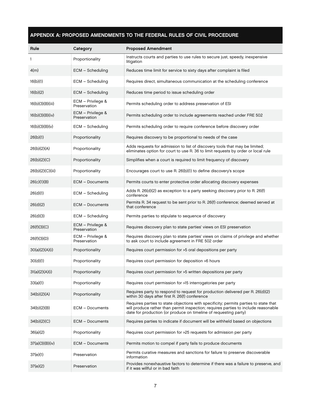## APPENDIX A: PROPOSED AMENDMENTS TO THE FEDERAL RULES OF CIVIL PROCEDURE

| Rule             | Category                          | <b>Proposed Amendment</b>                                                                                                                                                                                                                      |
|------------------|-----------------------------------|------------------------------------------------------------------------------------------------------------------------------------------------------------------------------------------------------------------------------------------------|
| 1                | Proportionality                   | Instructs courts and parties to use rules to secure just, speedy, inexpensive<br>litigation                                                                                                                                                    |
| 4(m)             | ECM - Scheduling                  | Reduces time limit for service to sixty days after complaint is filed                                                                                                                                                                          |
| 16(b)(1)         | ECM - Scheduling                  | Requires direct, simultaneous communication at the scheduling conference                                                                                                                                                                       |
| 16(b)(2)         | ECM – Scheduling                  | Reduces time period to issue scheduling order                                                                                                                                                                                                  |
| 16(b)(3)(B)(iii) | ECM – Privilege &<br>Preservation | Permits scheduling order to address preservation of ESI                                                                                                                                                                                        |
| 16(b)(3)(B)(iv)  | ECM - Privilege &<br>Preservation | Permits scheduling order to include agreements reached under FRE 502                                                                                                                                                                           |
| 16(b)(3)(B)(v)   | ECM - Scheduling                  | Permits scheduling order to require conference before discovery order                                                                                                                                                                          |
| 26(b)(1)         | Proportionality                   | Requires discovery to be proportional to needs of the case                                                                                                                                                                                     |
| 26(b)(2)(A)      | Proportionality                   | Adds requests for admission to list of discovery tools that may be limited;<br>eliminates option for court to use R. 36 to limit requests by order or local rule                                                                               |
| 26(b)(2)(C)      | Proportionality                   | Simplifies when a court is required to limit frequency of discovery                                                                                                                                                                            |
| 26(b)(2)(C)(iii) | Proportionality                   | Encourages court to use R. 26(b)(1) to define discovery's scope                                                                                                                                                                                |
| 26(c)(1)(B)      | <b>ECM - Documents</b>            | Permits courts to enter protective order allocating discovery expenses                                                                                                                                                                         |
| 26(d)(1)         | ECM - Scheduling                  | Adds R. 26(d)(2) as exception to a party seeking discovery prior to R. 26(f)<br>conference                                                                                                                                                     |
| 26(d)(2)         | <b>ECM - Documents</b>            | Permits R. 34 request to be sent prior to R. 26(f) conference; deemed served at<br>that conference                                                                                                                                             |
| 26(d)(3)         | ECM - Scheduling                  | Permits parties to stipulate to sequence of discovery                                                                                                                                                                                          |
| 26(f)(3)(C)      | ECM - Privilege &<br>Preservation | Requires discovery plan to state parties' views on ESI preservation                                                                                                                                                                            |
| 26(f)(3)(D)      | ECM - Privilege &<br>Preservation | Requires discovery plan to state parties' views on claims of privilege and whether<br>to ask court to include agreement in FRE 502 order                                                                                                       |
| 30(a)(2)(A)(i)   | Proportionality                   | Requires court permission for >5 oral depositions per party                                                                                                                                                                                    |
| 30(d)(1)         | Proportionality                   | Requires court permission for deposition >6 hours                                                                                                                                                                                              |
| 31(a)(2)(A)(i)   | Proportionality                   | Requires court permission for >5 written depositions per party                                                                                                                                                                                 |
| 33(a)(1)         | Proportionality                   | Requires court permission for >15 interrogatories per party                                                                                                                                                                                    |
| 34(b)(2)(A)      | Proportionality                   | Requires party to respond to request for production delivered per R. 26(d)(2)<br>within 30 days after first R. 26(f) conference                                                                                                                |
| 34(b)(2)(B)      | <b>ECM - Documents</b>            | Requires parties to state objections with specificity; permits parties to state that<br>will produce rather than permit inspection; requires parties to include reasonable<br>date for production (or produce on timeline of requesting party) |
| 34(b)(2)(C)      | ECM - Documents                   | Requires parties to indicate if document will be withheld based on objections                                                                                                                                                                  |
| 36(a)(2)         | Proportionality                   | Requires court permission for >25 requests for admission per party                                                                                                                                                                             |
| 37(a)(3)(B)(iv)  | <b>ECM - Documents</b>            | Permits motion to compel if party fails to produce documents                                                                                                                                                                                   |
| 37(e)(1)         | Preservation                      | Permits curative measures and sanctions for failure to preserve discoverable<br>information                                                                                                                                                    |
| 37(e)(2)         | Preservation                      | Provides nonexhaustive factors to determine if there was a failure to preserve, and<br>if it was willful or in bad faith                                                                                                                       |